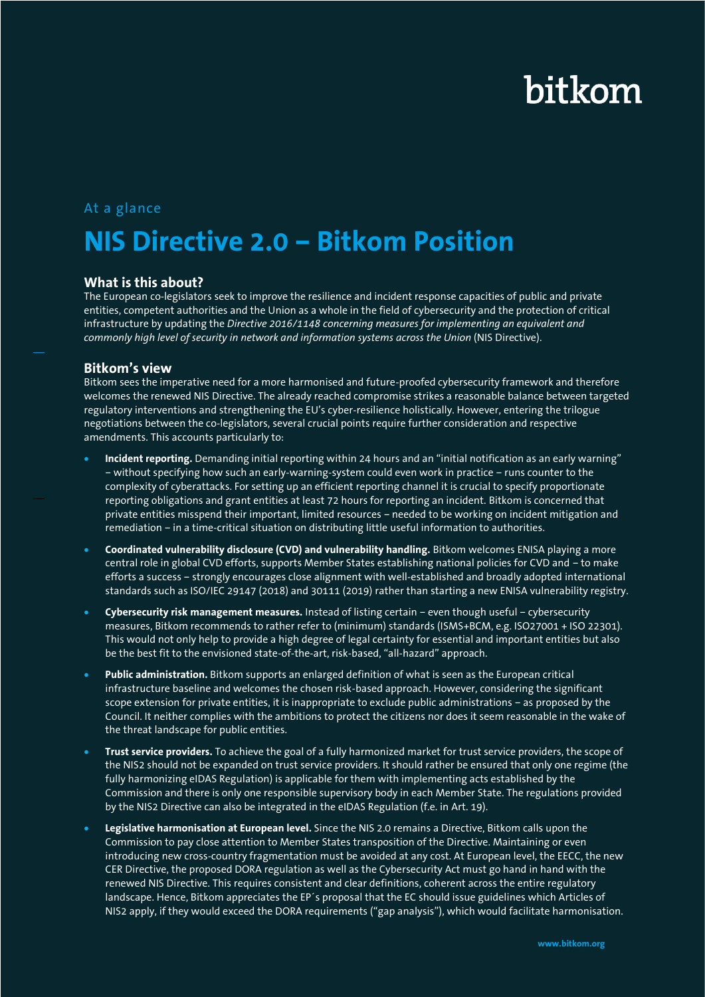# bitkom

### At a glance

## **NIS Directive 2.0 – Bitkom Position**

#### **What is this about?**

The European co-legislators seek to improve the resilience and incident response capacities of public and private entities, competent authorities and the Union as a whole in the field of cybersecurity and the protection of critical infrastructure by updating the *Directive 2016/1148 concerning measures for implementing an equivalent and commonly high level of security in network and information systems across the Union* (NIS Directive).

#### **Bitkom's view**

Bitkom sees the imperative need for a more harmonised and future-proofed cybersecurity framework and therefore welcomes the renewed NIS Directive. The already reached compromise strikes a reasonable balance between targeted regulatory interventions and strengthening the EU's cyber-resilience holistically. However, entering the trilogue negotiations between the co-legislators, several crucial points require further consideration and respective amendments. This accounts particularly to:

- **Incident reporting.** Demanding initial reporting within 24 hours and an "initial notification as an early warning" – without specifying how such an early-warning-system could even work in practice – runs counter to the complexity of cyberattacks. For setting up an efficient reporting channel it is crucial to specify proportionate reporting obligations and grant entities at least 72 hours for reporting an incident. Bitkom is concerned that private entities misspend their important, limited resources – needed to be working on incident mitigation and remediation – in a time-critical situation on distributing little useful information to authorities.
- **Coordinated vulnerability disclosure (CVD) and vulnerability handling.** Bitkom welcomes ENISA playing a more central role in global CVD efforts, supports Member States establishing national policies for CVD and – to make efforts a success – strongly encourages close alignment with well-established and broadly adopted international standards such as ISO/IEC 29147 (2018) and 30111 (2019) rather than starting a new ENISA vulnerability registry.
- **Cybersecurity risk management measures.** Instead of listing certain even though useful cybersecurity measures, Bitkom recommends to rather refer to (minimum) standards (ISMS+BCM, e.g. ISO27001 + ISO 22301). This would not only help to provide a high degree of legal certainty for essential and important entities but also be the best fit to the envisioned state-of-the-art, risk-based, "all-hazard" approach.
- **Public administration.** Bitkom supports an enlarged definition of what is seen as the European critical infrastructure baseline and welcomes the chosen risk-based approach. However, considering the significant scope extension for private entities, it is inappropriate to exclude public administrations – as proposed by the Council. It neither complies with the ambitions to protect the citizens nor does it seem reasonable in the wake of the threat landscape for public entities.
- **Trust service providers.** To achieve the goal of a fully harmonized market for trust service providers, the scope of the NIS2 should not be expanded on trust service providers. It should rather be ensured that only one regime (the fully harmonizing eIDAS Regulation) is applicable for them with implementing acts established by the Commission and there is only one responsible supervisory body in each Member State. The regulations provided by the NIS2 Directive can also be integrated in the eIDAS Regulation (f.e. in Art. 19).
- **Legislative harmonisation at European level.** Since the NIS 2.0 remains a Directive, Bitkom calls upon the Commission to pay close attention to Member States transposition of the Directive. Maintaining or even introducing new cross-country fragmentation must be avoided at any cost. At European level, the EECC, the new CER Directive, the proposed DORA regulation as well as the Cybersecurity Act must go hand in hand with the renewed NIS Directive. This requires consistent and clear definitions, coherent across the entire regulatory landscape. Hence, Bitkom appreciates the EP´s proposal that the EC should issue guidelines which Articles of NIS2 apply, if they would exceed the DORA requirements ("gap analysis"), which would facilitate harmonisation.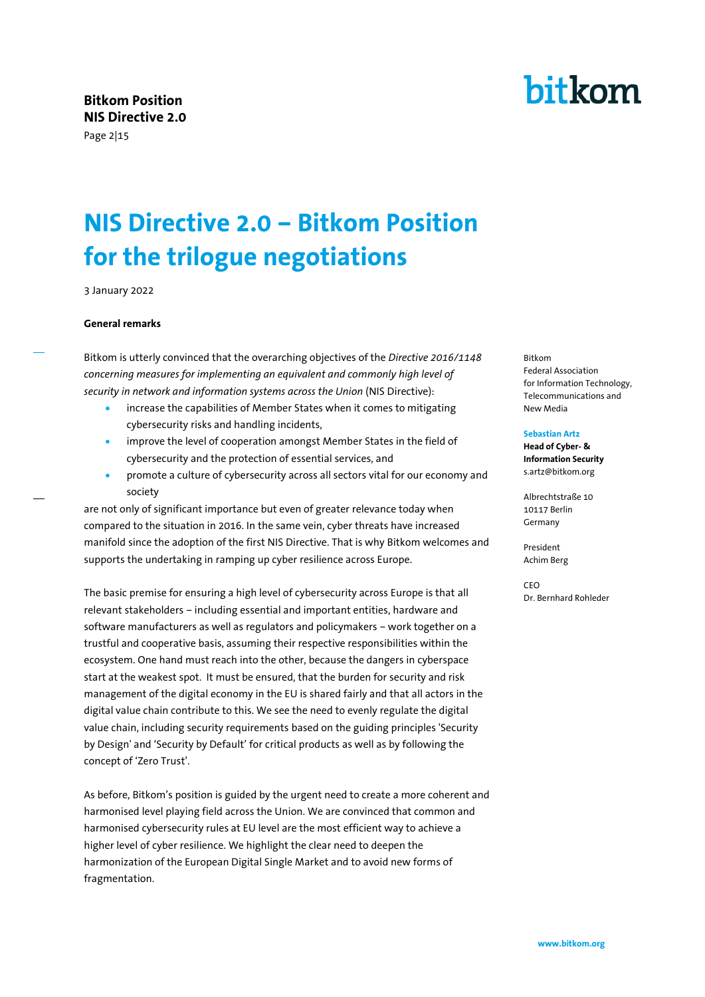Page 2|15

## **NIS Directive 2.0 – Bitkom Position for the trilogue negotiations**

3 January 2022

#### **General remarks**

Bitkom is utterly convinced that the overarching objectives of the *Directive 2016/1148 concerning measures for implementing an equivalent and commonly high level of security in network and information systems across the Union* (NIS Directive):

- increase the capabilities of Member States when it comes to mitigating cybersecurity risks and handling incidents,
- improve the level of cooperation amongst Member States in the field of cybersecurity and the protection of essential services, and
- promote a culture of cybersecurity across all sectors vital for our economy and society

are not only of significant importance but even of greater relevance today when compared to the situation in 2016. In the same vein, cyber threats have increased manifold since the adoption of the first NIS Directive. That is why Bitkom welcomes and supports the undertaking in ramping up cyber resilience across Europe.

The basic premise for ensuring a high level of cybersecurity across Europe is that all relevant stakeholders – including essential and important entities, hardware and software manufacturers as well as regulators and policymakers – work together on a trustful and cooperative basis, assuming their respective responsibilities within the ecosystem. One hand must reach into the other, because the dangers in cyberspace start at the weakest spot. It must be ensured, that the burden for security and risk management of the digital economy in the EU is shared fairly and that all actors in the digital value chain contribute to this. We see the need to evenly regulate the digital value chain, including security requirements based on the guiding principles 'Security by Design' and 'Security by Default' for critical products as well as by following the concept of 'Zero Trust'.

As before, Bitkom's position is guided by the urgent need to create a more coherent and harmonised level playing field across the Union. We are convinced that common and harmonised cybersecurity rules at EU level are the most efficient way to achieve a higher level of cyber resilience. We highlight the clear need to deepen the harmonization of the European Digital Single Market and to avoid new forms of fragmentation.

#### Bitkom Federal Association for Information Technology, Telecommunications and New Media

#### **Sebastian Artz**

**Head of Cyber- & Information Security** s.artz@bitkom.org

Albrechtstraße 10 10117 Berlin Germany

President Achim Berg

CEO Dr. Bernhard Rohleder

# bitkom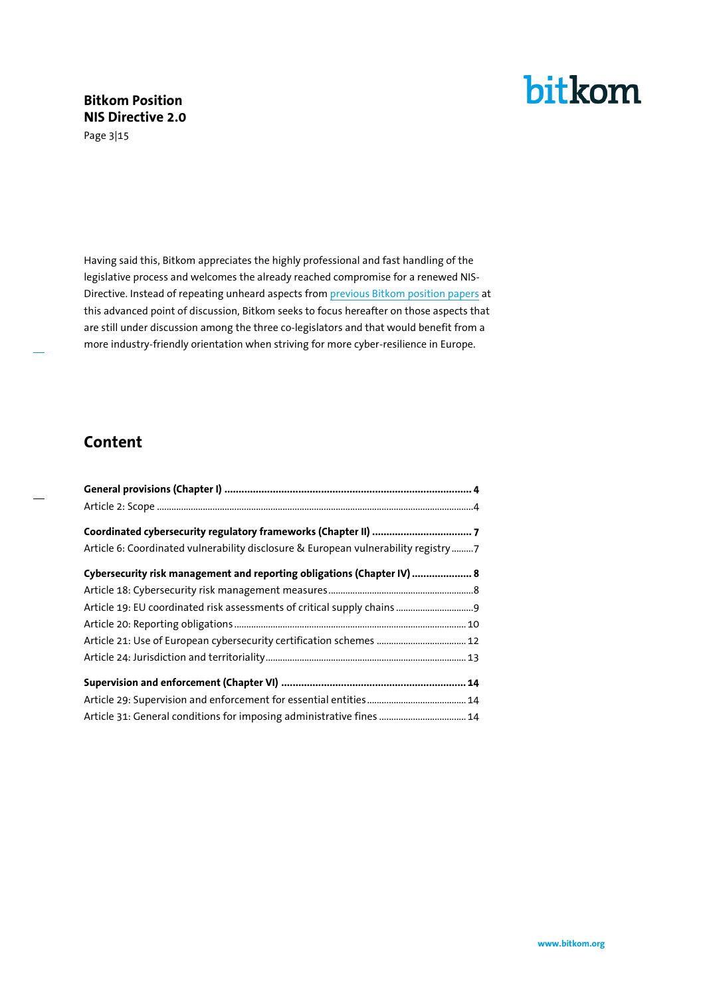Page 3|15



Having said this, Bitkom appreciates the highly professional and fast handling of the legislative process and welcomes the already reached compromise for a renewed NIS-Directive. Instead of repeating unheard aspects fro[m previous Bitkom position papers](https://www.bitkom.org/sites/default/files/2021-03/210318_pp_nis-directive-2.pdf) at this advanced point of discussion, Bitkom seeks to focus hereafter on those aspects that are still under discussion among the three co-legislators and that would benefit from a more industry-friendly orientation when striving for more cyber-resilience in Europe.

### **Content**

| Article 6: Coordinated vulnerability disclosure & European vulnerability registry 7 |  |
|-------------------------------------------------------------------------------------|--|
| Cybersecurity risk management and reporting obligations (Chapter IV)  8             |  |
|                                                                                     |  |
|                                                                                     |  |
|                                                                                     |  |
|                                                                                     |  |
|                                                                                     |  |
|                                                                                     |  |
|                                                                                     |  |
| Article 31: General conditions for imposing administrative fines  14                |  |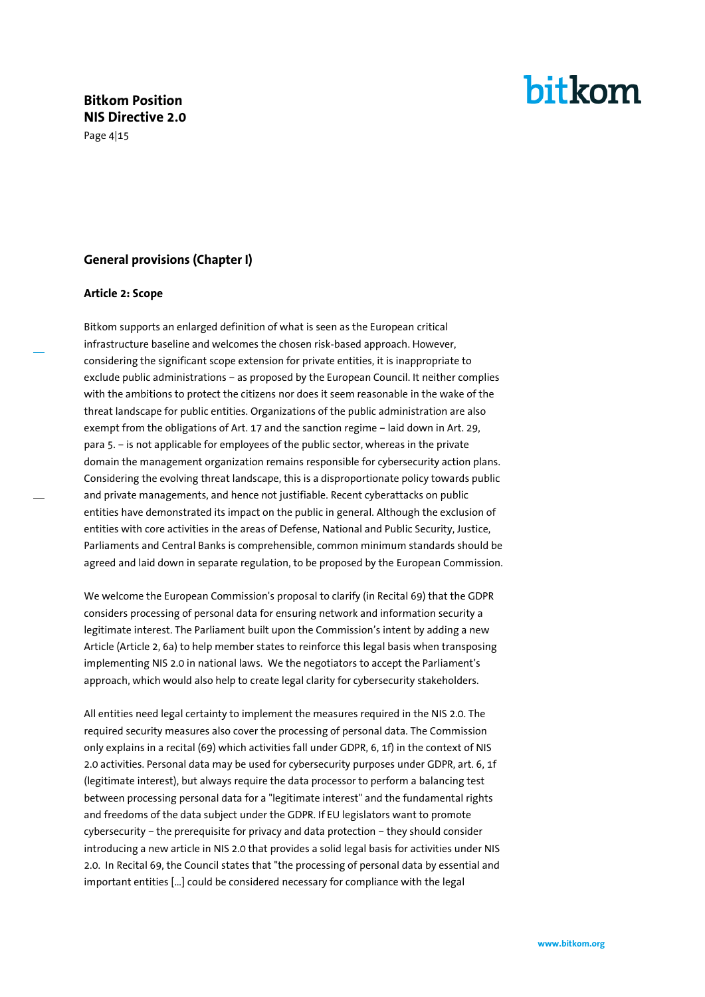Page 4|15

# bitkom

#### <span id="page-3-0"></span>**General provisions (Chapter I)**

#### <span id="page-3-1"></span>**Article 2: Scope**

Bitkom supports an enlarged definition of what is seen as the European critical infrastructure baseline and welcomes the chosen risk-based approach. However, considering the significant scope extension for private entities, it is inappropriate to exclude public administrations – as proposed by the European Council. It neither complies with the ambitions to protect the citizens nor does it seem reasonable in the wake of the threat landscape for public entities. Organizations of the public administration are also exempt from the obligations of Art. 17 and the sanction regime – laid down in Art. 29, para 5. – is not applicable for employees of the public sector, whereas in the private domain the management organization remains responsible for cybersecurity action plans. Considering the evolving threat landscape, this is a disproportionate policy towards public and private managements, and hence not justifiable. Recent cyberattacks on public entities have demonstrated its impact on the public in general. Although the exclusion of entities with core activities in the areas of Defense, National and Public Security, Justice, Parliaments and Central Banks is comprehensible, common minimum standards should be agreed and laid down in separate regulation, to be proposed by the European Commission.

We welcome the European Commission's proposal to clarify (in Recital 69) that the GDPR considers processing of personal data for ensuring network and information security a legitimate interest. The Parliament built upon the Commission's intent by adding a new Article (Article 2, 6a) to help member states to reinforce this legal basis when transposing implementing NIS 2.0 in national laws. We the negotiators to accept the Parliament's approach, which would also help to create legal clarity for cybersecurity stakeholders.

All entities need legal certainty to implement the measures required in the NIS 2.0. The required security measures also cover the processing of personal data. The Commission only explains in a recital (69) which activities fall under GDPR, 6, 1f) in the context of NIS 2.0 activities. Personal data may be used for cybersecurity purposes under GDPR, art. 6, 1f (legitimate interest), but always require the data processor to perform a balancing test between processing personal data for a "legitimate interest" and the fundamental rights and freedoms of the data subject under the GDPR. If EU legislators want to promote cybersecurity – the prerequisite for privacy and data protection – they should consider introducing a new article in NIS 2.0 that provides a solid legal basis for activities under NIS 2.0. In Recital 69, the Council states that "the processing of personal data by essential and important entities […] could be considered necessary for compliance with the legal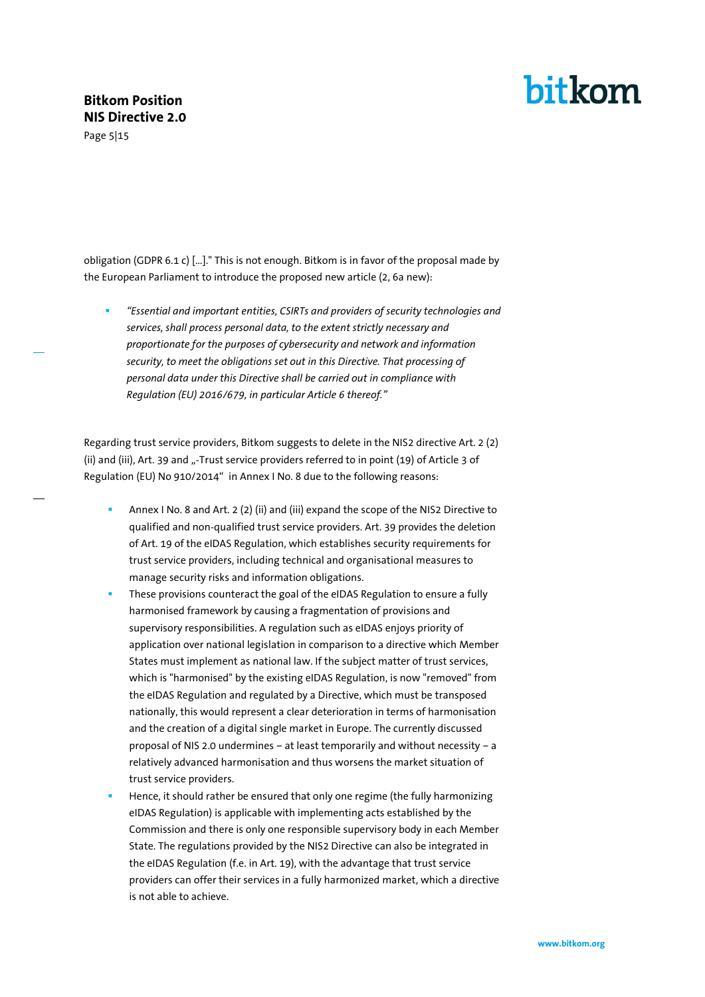Page 5|15

## bitkom

obligation (GDPR 6.1 c) […]." This is not enough. Bitkom is in favor of the proposal made by the European Parliament to introduce the proposed new article (2, 6a new):

▪ *"Essential and important entities, CSIRTs and providers of security technologies and services, shall process personal data, to the extent strictly necessary and proportionate for the purposes of cybersecurity and network and information security, to meet the obligations set out in this Directive. That processing of personal data under this Directive shall be carried out in compliance with Regulation (EU) 2016/679, in particular Article 6 thereof."*

Regarding trust service providers, Bitkom suggests to delete in the NIS2 directive Art. 2 (2) (ii) and (iii), Art. 39 and "-Trust service providers referred to in point (19) of Article 3 of Regulation (EU) No 910/2014" in Annex I No. 8 due to the following reasons:

- Annex I No. 8 and Art. 2 (2) (ii) and (iii) expand the scope of the NIS2 Directive to qualified and non-qualified trust service providers. Art. 39 provides the deletion of Art. 19 of the eIDAS Regulation, which establishes security requirements for trust service providers, including technical and organisational measures to manage security risks and information obligations.
- These provisions counteract the goal of the eIDAS Regulation to ensure a fully harmonised framework by causing a fragmentation of provisions and supervisory responsibilities. A regulation such as eIDAS enjoys priority of application over national legislation in comparison to a directive which Member States must implement as national law. If the subject matter of trust services, which is "harmonised" by the existing eIDAS Regulation, is now "removed" from the eIDAS Regulation and regulated by a Directive, which must be transposed nationally, this would represent a clear deterioration in terms of harmonisation and the creation of a digital single market in Europe. The currently discussed proposal of NIS 2.0 undermines – at least temporarily and without necessity – a relatively advanced harmonisation and thus worsens the market situation of trust service providers.
- Hence, it should rather be ensured that only one regime (the fully harmonizing eIDAS Regulation) is applicable with implementing acts established by the Commission and there is only one responsible supervisory body in each Member State. The regulations provided by the NIS2 Directive can also be integrated in the eIDAS Regulation (f.e. in Art. 19), with the advantage that trust service providers can offer their services in a fully harmonized market, which a directive is not able to achieve.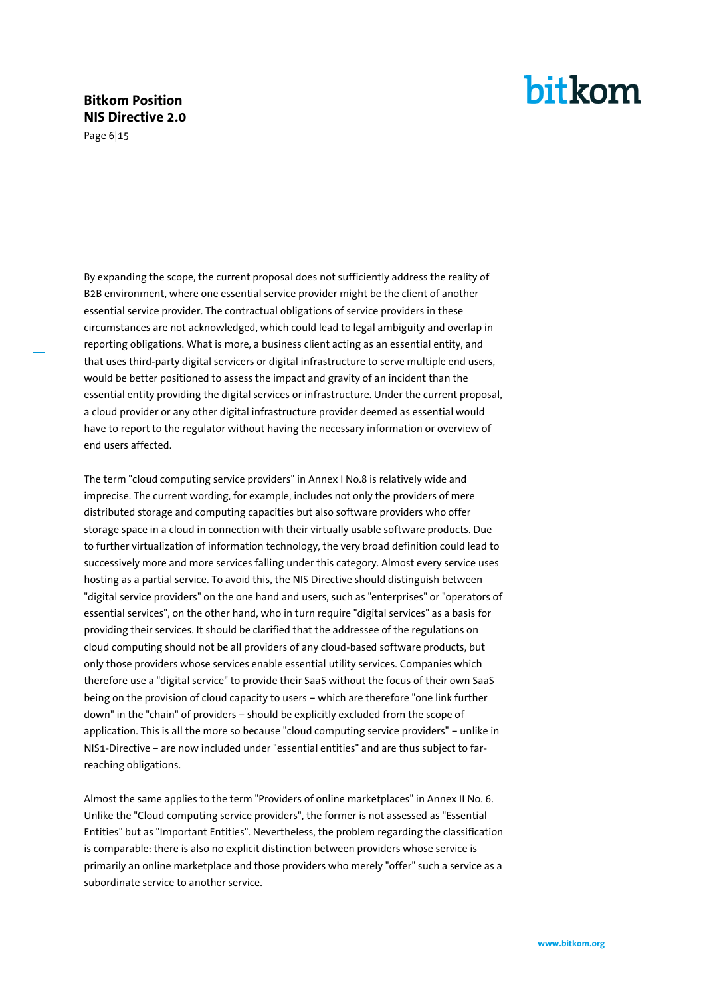Page 6|15

## bitkom

By expanding the scope, the current proposal does not sufficiently address the reality of B2B environment, where one essential service provider might be the client of another essential service provider. The contractual obligations of service providers in these circumstances are not acknowledged, which could lead to legal ambiguity and overlap in reporting obligations. What is more, a business client acting as an essential entity, and that uses third-party digital servicers or digital infrastructure to serve multiple end users, would be better positioned to assess the impact and gravity of an incident than the essential entity providing the digital services or infrastructure. Under the current proposal, a cloud provider or any other digital infrastructure provider deemed as essential would have to report to the regulator without having the necessary information or overview of end users affected.

The term "cloud computing service providers" in Annex I No.8 is relatively wide and imprecise. The current wording, for example, includes not only the providers of mere distributed storage and computing capacities but also software providers who offer storage space in a cloud in connection with their virtually usable software products. Due to further virtualization of information technology, the very broad definition could lead to successively more and more services falling under this category. Almost every service uses hosting as a partial service. To avoid this, the NIS Directive should distinguish between "digital service providers" on the one hand and users, such as "enterprises" or "operators of essential services", on the other hand, who in turn require "digital services" as a basis for providing their services. It should be clarified that the addressee of the regulations on cloud computing should not be all providers of any cloud-based software products, but only those providers whose services enable essential utility services. Companies which therefore use a "digital service" to provide their SaaS without the focus of their own SaaS being on the provision of cloud capacity to users – which are therefore "one link further down" in the "chain" of providers – should be explicitly excluded from the scope of application. This is all the more so because "cloud computing service providers" – unlike in NIS1-Directive – are now included under "essential entities" and are thus subject to farreaching obligations.

Almost the same applies to the term "Providers of online marketplaces" in Annex II No. 6. Unlike the "Cloud computing service providers", the former is not assessed as "Essential Entities" but as "Important Entities". Nevertheless, the problem regarding the classification is comparable: there is also no explicit distinction between providers whose service is primarily an online marketplace and those providers who merely "offer" such a service as a subordinate service to another service.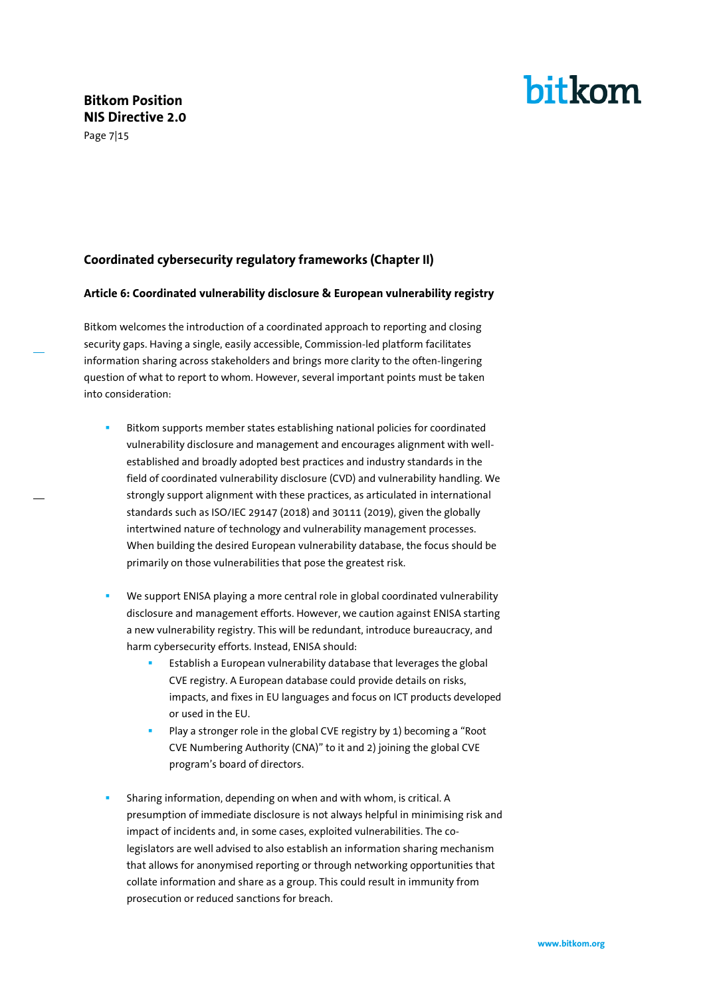#### Page 7|15

# bitkom

#### <span id="page-6-0"></span>**Coordinated cybersecurity regulatory frameworks (Chapter II)**

#### <span id="page-6-1"></span>**Article 6: Coordinated vulnerability disclosure & European vulnerability registry**

Bitkom welcomes the introduction of a coordinated approach to reporting and closing security gaps. Having a single, easily accessible, Commission-led platform facilitates information sharing across stakeholders and brings more clarity to the often-lingering question of what to report to whom. However, several important points must be taken into consideration:

- Bitkom supports member states establishing national policies for coordinated vulnerability disclosure and management and encourages alignment with wellestablished and broadly adopted best practices and industry standards in the field of coordinated vulnerability disclosure (CVD) and vulnerability handling. We strongly support alignment with these practices, as articulated in international standards such as ISO/IEC 29147 (2018) and 30111 (2019), given the globally intertwined nature of technology and vulnerability management processes. When building the desired European vulnerability database, the focus should be primarily on those vulnerabilities that pose the greatest risk.
- We support ENISA playing a more central role in global coordinated vulnerability disclosure and management efforts. However, we caution against ENISA starting a new vulnerability registry. This will be redundant, introduce bureaucracy, and harm cybersecurity efforts. Instead, ENISA should:
	- Establish a European vulnerability database that leverages the global CVE registry. A European database could provide details on risks, impacts, and fixes in EU languages and focus on ICT products developed or used in the EU.
	- Play a stronger role in the global CVE registry by 1) becoming a "Root CVE Numbering Authority (CNA)" to it and 2) joining the global CVE program's board of directors.
- Sharing information, depending on when and with whom, is critical. A presumption of immediate disclosure is not always helpful in minimising risk and impact of incidents and, in some cases, exploited vulnerabilities. The colegislators are well advised to also establish an information sharing mechanism that allows for anonymised reporting or through networking opportunities that collate information and share as a group. This could result in immunity from prosecution or reduced sanctions for breach.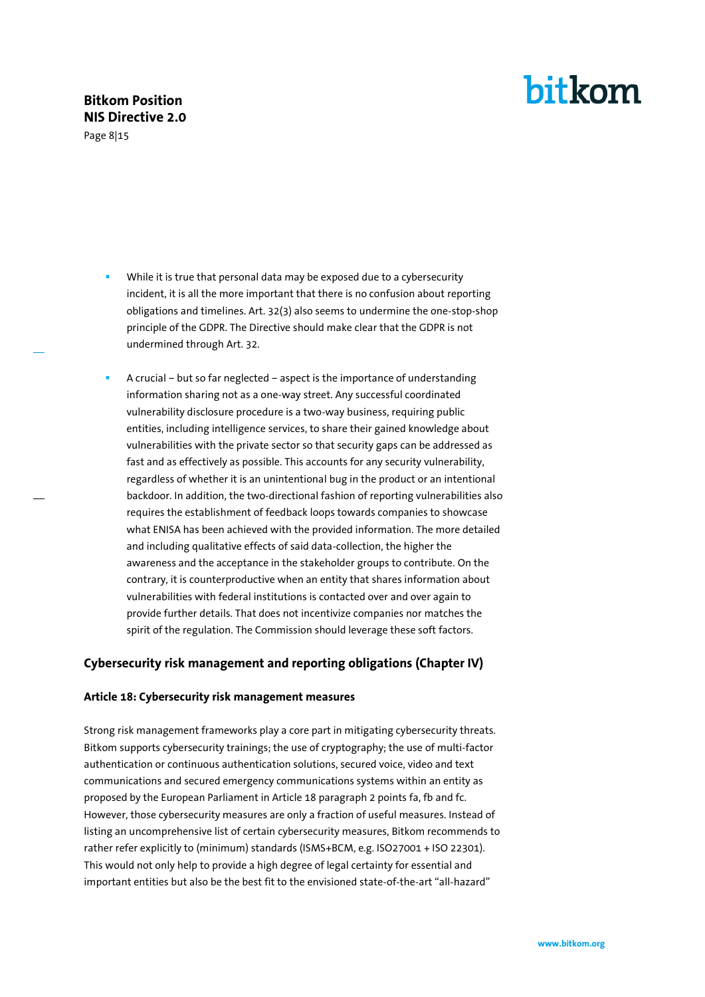Page 8|15

- While it is true that personal data may be exposed due to a cybersecurity incident, it is all the more important that there is no confusion about reporting obligations and timelines. Art. 32(3) also seems to undermine the one-stop-shop principle of the GDPR. The Directive should make clear that the GDPR is not undermined through Art. 32.
- A crucial but so far neglected aspect is the importance of understanding information sharing not as a one-way street. Any successful coordinated vulnerability disclosure procedure is a two-way business, requiring public entities, including intelligence services, to share their gained knowledge about vulnerabilities with the private sector so that security gaps can be addressed as fast and as effectively as possible. This accounts for any security vulnerability, regardless of whether it is an unintentional bug in the product or an intentional backdoor. In addition, the two-directional fashion of reporting vulnerabilities also requires the establishment of feedback loops towards companies to showcase what ENISA has been achieved with the provided information. The more detailed and including qualitative effects of said data-collection, the higher the awareness and the acceptance in the stakeholder groups to contribute. On the contrary, it is counterproductive when an entity that shares information about vulnerabilities with federal institutions is contacted over and over again to provide further details. That does not incentivize companies nor matches the spirit of the regulation. The Commission should leverage these soft factors.

#### <span id="page-7-0"></span>**Cybersecurity risk management and reporting obligations (Chapter IV)**

#### <span id="page-7-1"></span>**Article 18: Cybersecurity risk management measures**

Strong risk management frameworks play a core part in mitigating cybersecurity threats. Bitkom supports cybersecurity trainings; the use of cryptography; the use of multi-factor authentication or continuous authentication solutions, secured voice, video and text communications and secured emergency communications systems within an entity as proposed by the European Parliament in Article 18 paragraph 2 points fa, fb and fc. However, those cybersecurity measures are only a fraction of useful measures. Instead of listing an uncomprehensive list of certain cybersecurity measures, Bitkom recommends to rather refer explicitly to (minimum) standards (ISMS+BCM, e.g. ISO27001 + ISO 22301). This would not only help to provide a high degree of legal certainty for essential and important entities but also be the best fit to the envisioned state-of-the-art "all-hazard"

bitkom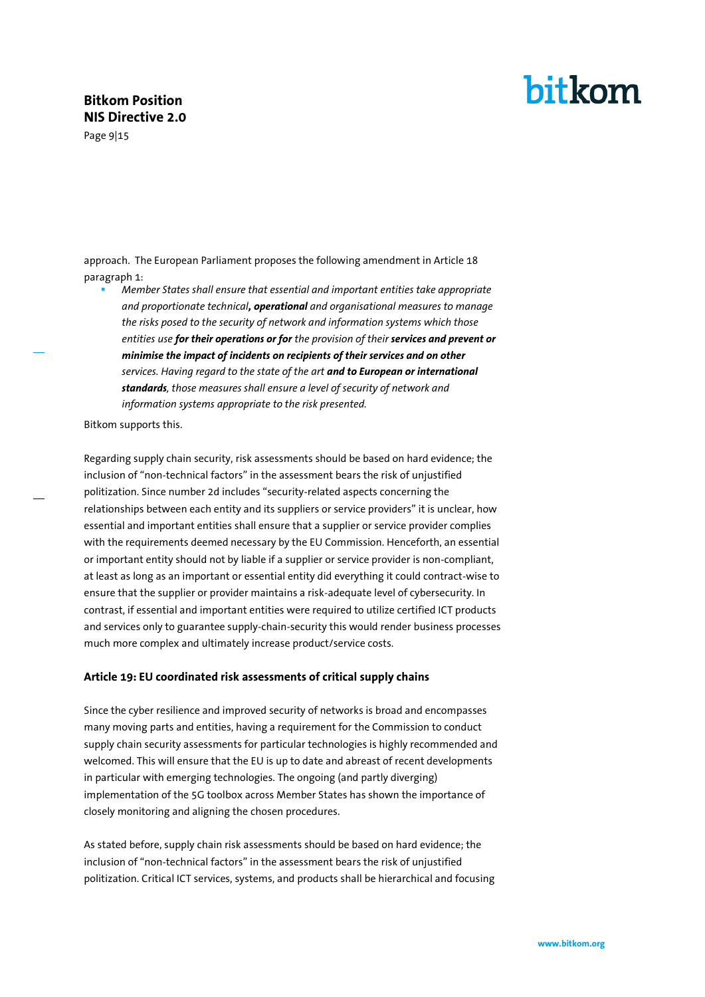Page 9|15

approach. The European Parliament proposes the following amendment in Article 18 paragraph 1:

▪ *Member States shall ensure that essential and important entities take appropriate and proportionate technical, operational and organisational measures to manage the risks posed to the security of network and information systems which those entities use for their operations or for the provision of their services and prevent or minimise the impact of incidents on recipients of their services and on other services. Having regard to the state of the art and to European or international standards, those measures shall ensure a level of security of network and information systems appropriate to the risk presented.*

Bitkom supports this.

Regarding supply chain security, risk assessments should be based on hard evidence; the inclusion of "non-technical factors" in the assessment bears the risk of unjustified politization. Since number 2d includes "security-related aspects concerning the relationships between each entity and its suppliers or service providers" it is unclear, how essential and important entities shall ensure that a supplier or service provider complies with the requirements deemed necessary by the EU Commission. Henceforth, an essential or important entity should not by liable if a supplier or service provider is non-compliant, at least as long as an important or essential entity did everything it could contract-wise to ensure that the supplier or provider maintains a risk-adequate level of cybersecurity. In contrast, if essential and important entities were required to utilize certified ICT products and services only to guarantee supply-chain-security this would render business processes much more complex and ultimately increase product/service costs.

#### <span id="page-8-0"></span>**Article 19: EU coordinated risk assessments of critical supply chains**

Since the cyber resilience and improved security of networks is broad and encompasses many moving parts and entities, having a requirement for the Commission to conduct supply chain security assessments for particular technologies is highly recommended and welcomed. This will ensure that the EU is up to date and abreast of recent developments in particular with emerging technologies. The ongoing (and partly diverging) implementation of the 5G toolbox across Member States has shown the importance of closely monitoring and aligning the chosen procedures.

As stated before, supply chain risk assessments should be based on hard evidence; the inclusion of "non-technical factors" in the assessment bears the risk of unjustified politization. Critical ICT services, systems, and products shall be hierarchical and focusing bitkom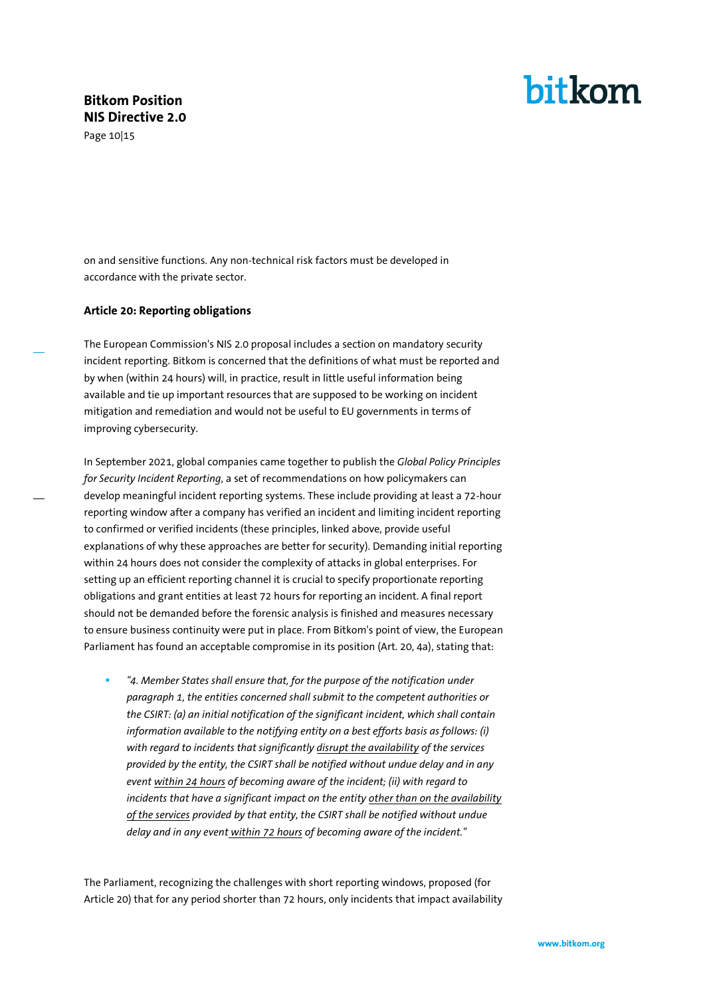Page 10|15

## bitkom

on and sensitive functions. Any non-technical risk factors must be developed in accordance with the private sector.

#### <span id="page-9-0"></span>**Article 20: Reporting obligations**

The European Commission's NIS 2.0 proposal includes a section on mandatory security incident reporting. Bitkom is concerned that the definitions of what must be reported and by when (within 24 hours) will, in practice, result in little useful information being available and tie up important resources that are supposed to be working on incident mitigation and remediation and would not be useful to EU governments in terms of improving cybersecurity.

In September 2021, global companies came together to publish the *Global Policy Principles for Security Incident Reporting*, a set of recommendations on how policymakers can develop meaningful incident reporting systems. These include providing at least a 72-hour reporting window after a company has verified an incident and limiting incident reporting to confirmed or verified incidents (these principles, linked above, provide useful explanations of why these approaches are better for security). Demanding initial reporting within 24 hours does not consider the complexity of attacks in global enterprises. For setting up an efficient reporting channel it is crucial to specify proportionate reporting obligations and grant entities at least 72 hours for reporting an incident. A final report should not be demanded before the forensic analysis is finished and measures necessary to ensure business continuity were put in place. From Bitkom's point of view, the European Parliament has found an acceptable compromise in its position (Art. 20, 4a), stating that:

<sup>"4</sup>. Member States shall ensure that, for the purpose of the notification under *paragraph 1, the entities concerned shall submit to the competent authorities or the CSIRT: (a) an initial notification of the significant incident, which shall contain information available to the notifying entity on a best efforts basis as follows: (i) with regard to incidents that significantly disrupt the availability of the services provided by the entity, the CSIRT shall be notified without undue delay and in any event within 24 hours of becoming aware of the incident; (ii) with regard to incidents that have a significant impact on the entity other than on the availability of the services provided by that entity, the CSIRT shall be notified without undue delay and in any event within 72 hours of becoming aware of the incident."*

The Parliament, recognizing the challenges with short reporting windows, proposed (for Article 20) that for any period shorter than 72 hours, only incidents that impact availability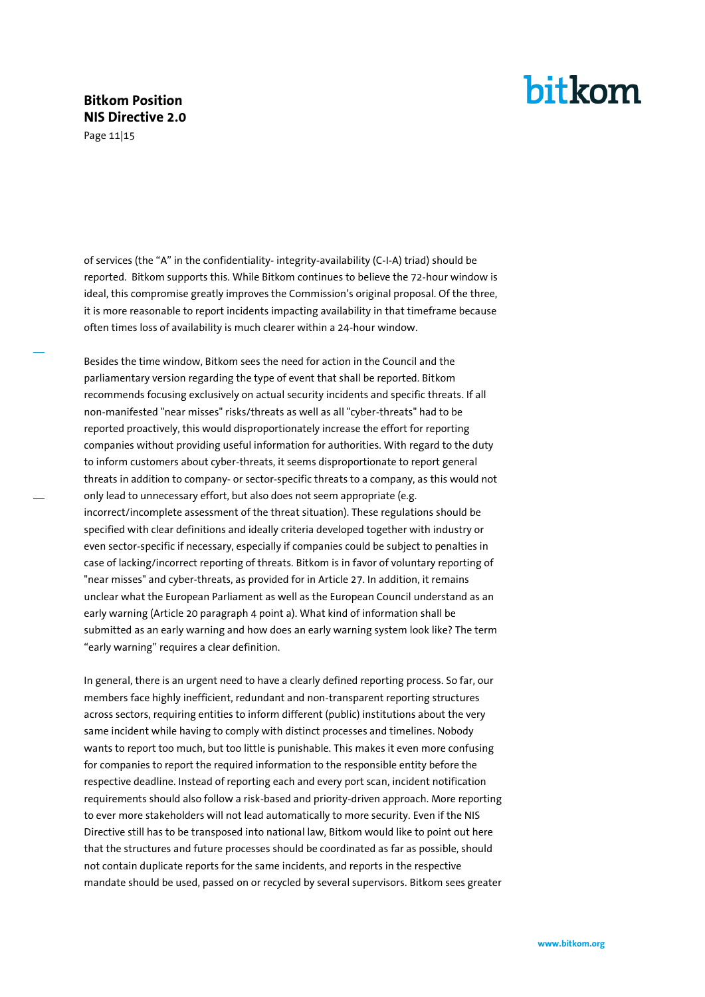Page 11|15

## bitkom

of services (the "A" in the confidentiality- integrity-availability (C-I-A) triad) should be reported. Bitkom supports this. While Bitkom continues to believe the 72-hour window is ideal, this compromise greatly improves the Commission's original proposal. Of the three, it is more reasonable to report incidents impacting availability in that timeframe because often times loss of availability is much clearer within a 24-hour window.

Besides the time window, Bitkom sees the need for action in the Council and the parliamentary version regarding the type of event that shall be reported. Bitkom recommends focusing exclusively on actual security incidents and specific threats. If all non-manifested "near misses" risks/threats as well as all "cyber-threats" had to be reported proactively, this would disproportionately increase the effort for reporting companies without providing useful information for authorities. With regard to the duty to inform customers about cyber-threats, it seems disproportionate to report general threats in addition to company- or sector-specific threats to a company, as this would not only lead to unnecessary effort, but also does not seem appropriate (e.g. incorrect/incomplete assessment of the threat situation). These regulations should be specified with clear definitions and ideally criteria developed together with industry or even sector-specific if necessary, especially if companies could be subject to penalties in case of lacking/incorrect reporting of threats. Bitkom is in favor of voluntary reporting of "near misses" and cyber-threats, as provided for in Article 27. In addition, it remains unclear what the European Parliament as well as the European Council understand as an early warning (Article 20 paragraph 4 point a). What kind of information shall be submitted as an early warning and how does an early warning system look like? The term "early warning" requires a clear definition.

In general, there is an urgent need to have a clearly defined reporting process. So far, our members face highly inefficient, redundant and non-transparent reporting structures across sectors, requiring entities to inform different (public) institutions about the very same incident while having to comply with distinct processes and timelines. Nobody wants to report too much, but too little is punishable. This makes it even more confusing for companies to report the required information to the responsible entity before the respective deadline. Instead of reporting each and every port scan, incident notification requirements should also follow a risk-based and priority-driven approach. More reporting to ever more stakeholders will not lead automatically to more security. Even if the NIS Directive still has to be transposed into national law, Bitkom would like to point out here that the structures and future processes should be coordinated as far as possible, should not contain duplicate reports for the same incidents, and reports in the respective mandate should be used, passed on or recycled by several supervisors. Bitkom sees greater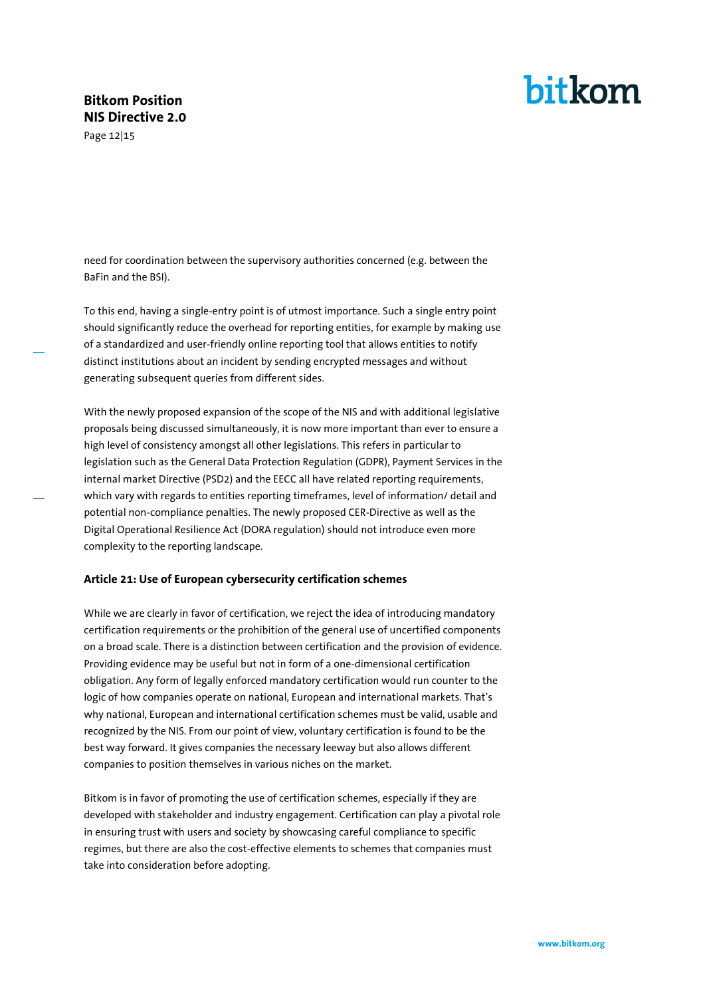Page 12|15

# bitkom

need for coordination between the supervisory authorities concerned (e.g. between the BaFin and the BSI).

To this end, having a single-entry point is of utmost importance. Such a single entry point should significantly reduce the overhead for reporting entities, for example by making use of a standardized and user-friendly online reporting tool that allows entities to notify distinct institutions about an incident by sending encrypted messages and without generating subsequent queries from different sides.

With the newly proposed expansion of the scope of the NIS and with additional legislative proposals being discussed simultaneously, it is now more important than ever to ensure a high level of consistency amongst all other legislations. This refers in particular to legislation such as the General Data Protection Regulation (GDPR), Payment Services in the internal market Directive (PSD2) and the EECC all have related reporting requirements, which vary with regards to entities reporting timeframes, level of information/ detail and potential non-compliance penalties. The newly proposed CER-Directive as well as the Digital Operational Resilience Act (DORA regulation) should not introduce even more complexity to the reporting landscape.

#### <span id="page-11-0"></span>**Article 21: Use of European cybersecurity certification schemes**

While we are clearly in favor of certification, we reject the idea of introducing mandatory certification requirements or the prohibition of the general use of uncertified components on a broad scale. There is a distinction between certification and the provision of evidence. Providing evidence may be useful but not in form of a one-dimensional certification obligation. Any form of legally enforced mandatory certification would run counter to the logic of how companies operate on national, European and international markets. That's why national, European and international certification schemes must be valid, usable and recognized by the NIS. From our point of view, voluntary certification is found to be the best way forward. It gives companies the necessary leeway but also allows different companies to position themselves in various niches on the market.

Bitkom is in favor of promoting the use of certification schemes, especially if they are developed with stakeholder and industry engagement. Certification can play a pivotal role in ensuring trust with users and society by showcasing careful compliance to specific regimes, but there are also the cost-effective elements to schemes that companies must take into consideration before adopting.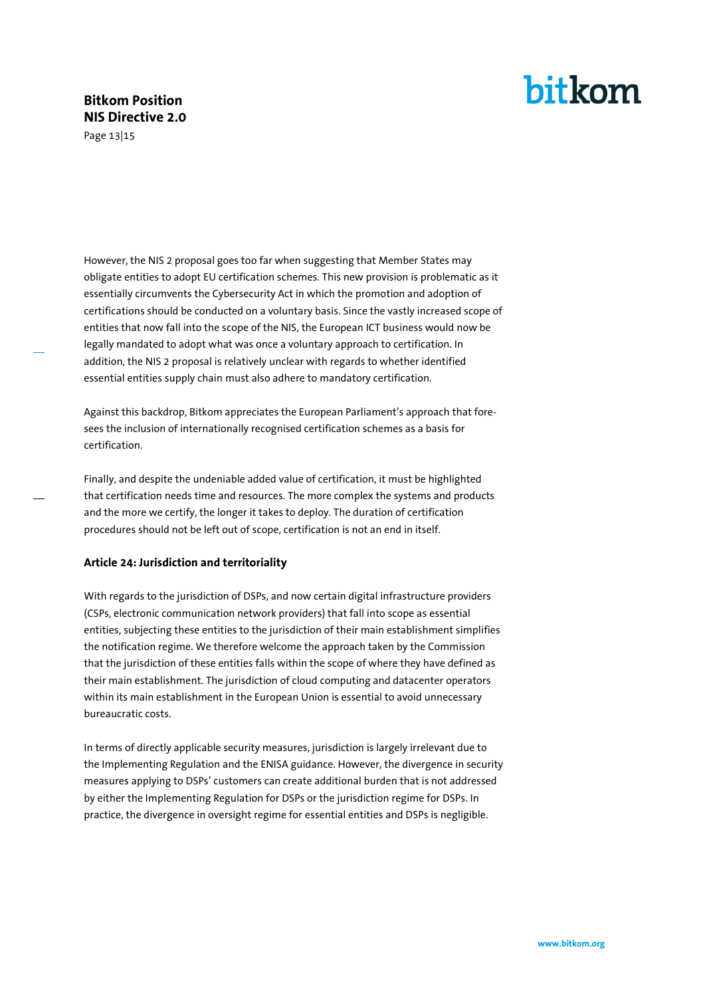Page 13|15

# bitkom

However, the NIS 2 proposal goes too far when suggesting that Member States may obligate entities to adopt EU certification schemes. This new provision is problematic as it essentially circumvents the Cybersecurity Act in which the promotion and adoption of certifications should be conducted on a voluntary basis. Since the vastly increased scope of entities that now fall into the scope of the NIS, the European ICT business would now be legally mandated to adopt what was once a voluntary approach to certification. In addition, the NIS 2 proposal is relatively unclear with regards to whether identified essential entities supply chain must also adhere to mandatory certification.

Against this backdrop, Bitkom appreciates the European Parliament's approach that foresees the inclusion of internationally recognised certification schemes as a basis for certification.

Finally, and despite the undeniable added value of certification, it must be highlighted that certification needs time and resources. The more complex the systems and products and the more we certify, the longer it takes to deploy. The duration of certification procedures should not be left out of scope, certification is not an end in itself.

#### <span id="page-12-0"></span>**Article 24: Jurisdiction and territoriality**

With regards to the jurisdiction of DSPs, and now certain digital infrastructure providers (CSPs, electronic communication network providers) that fall into scope as essential entities, subjecting these entities to the jurisdiction of their main establishment simplifies the notification regime. We therefore welcome the approach taken by the Commission that the jurisdiction of these entities falls within the scope of where they have defined as their main establishment. The jurisdiction of cloud computing and datacenter operators within its main establishment in the European Union is essential to avoid unnecessary bureaucratic costs.

In terms of directly applicable security measures, jurisdiction is largely irrelevant due to the Implementing Regulation and the ENISA guidance. However, the divergence in security measures applying to DSPs' customers can create additional burden that is not addressed by either the Implementing Regulation for DSPs or the jurisdiction regime for DSPs. In practice, the divergence in oversight regime for essential entities and DSPs is negligible.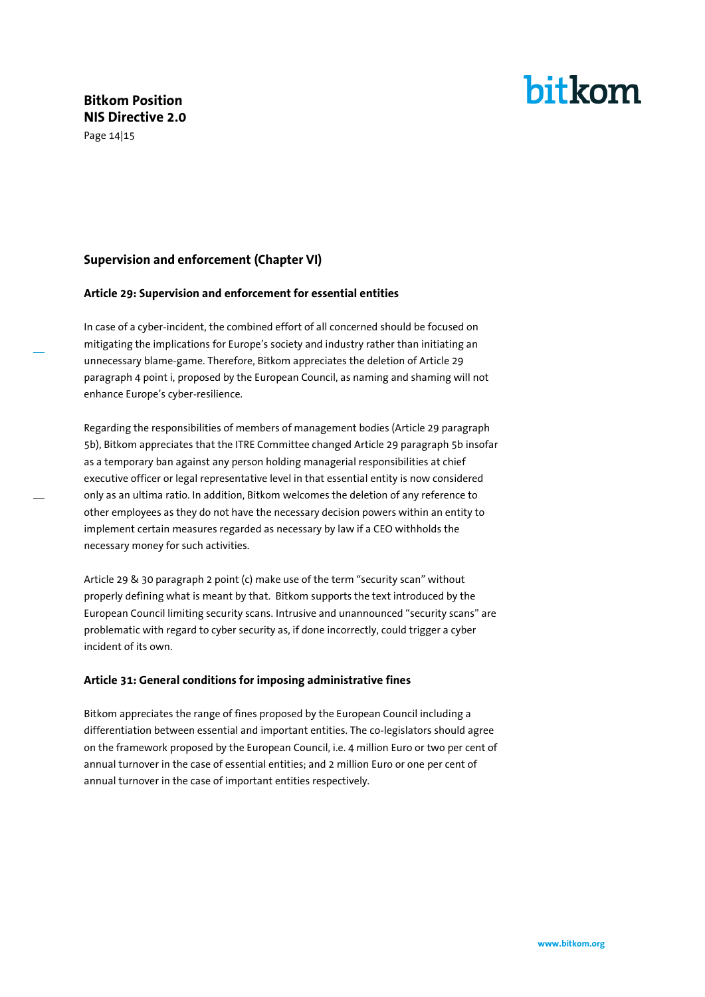Page 14|15

# bitkom

#### <span id="page-13-0"></span>**Supervision and enforcement (Chapter VI)**

#### <span id="page-13-1"></span>**Article 29: Supervision and enforcement for essential entities**

In case of a cyber-incident, the combined effort of all concerned should be focused on mitigating the implications for Europe's society and industry rather than initiating an unnecessary blame-game. Therefore, Bitkom appreciates the deletion of Article 29 paragraph 4 point i, proposed by the European Council, as naming and shaming will not enhance Europe's cyber-resilience.

Regarding the responsibilities of members of management bodies (Article 29 paragraph 5b), Bitkom appreciates that the ITRE Committee changed Article 29 paragraph 5b insofar as a temporary ban against any person holding managerial responsibilities at chief executive officer or legal representative level in that essential entity is now considered only as an ultima ratio. In addition, Bitkom welcomes the deletion of any reference to other employees as they do not have the necessary decision powers within an entity to implement certain measures regarded as necessary by law if a CEO withholds the necessary money for such activities.

Article 29 & 30 paragraph 2 point (c) make use of the term "security scan" without properly defining what is meant by that. Bitkom supports the text introduced by the European Council limiting security scans. Intrusive and unannounced "security scans" are problematic with regard to cyber security as, if done incorrectly, could trigger a cyber incident of its own.

#### <span id="page-13-2"></span>**Article 31: General conditions for imposing administrative fines**

Bitkom appreciates the range of fines proposed by the European Council including a differentiation between essential and important entities. The co-legislators should agree on the framework proposed by the European Council, i.e. 4 million Euro or two per cent of annual turnover in the case of essential entities; and 2 million Euro or one per cent of annual turnover in the case of important entities respectively.